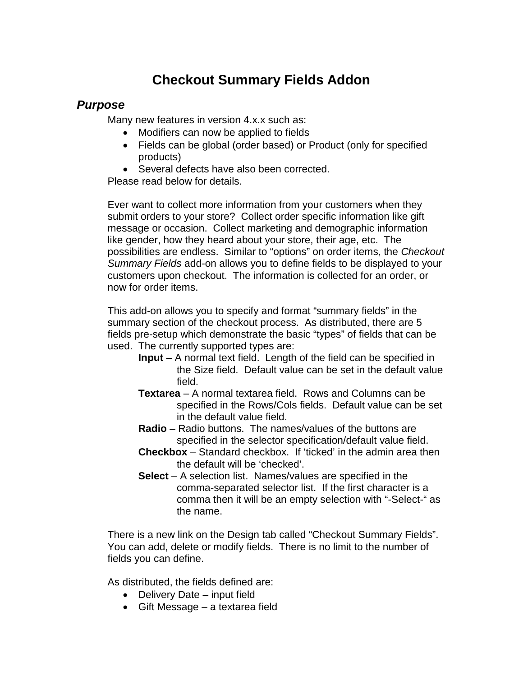# **Checkout Summary Fields Addon**

# *Purpose*

Many new features in version 4.x.x such as:

- Modifiers can now be applied to fields
- Fields can be global (order based) or Product (only for specified products)
- Several defects have also been corrected.

Please read below for details.

Ever want to collect more information from your customers when they submit orders to your store? Collect order specific information like gift message or occasion. Collect marketing and demographic information like gender, how they heard about your store, their age, etc. The possibilities are endless. Similar to "options" on order items, the *Checkout Summary Fields* add-on allows you to define fields to be displayed to your customers upon checkout. The information is collected for an order, or now for order items.

This add-on allows you to specify and format "summary fields" in the summary section of the checkout process. As distributed, there are 5 fields pre-setup which demonstrate the basic "types" of fields that can be used. The currently supported types are:

- **Input** A normal text field. Length of the field can be specified in the Size field. Default value can be set in the default value field.
- **Textarea** A normal textarea field. Rows and Columns can be specified in the Rows/Cols fields. Default value can be set in the default value field.
- **Radio** Radio buttons. The names/values of the buttons are specified in the selector specification/default value field.
- **Checkbox** Standard checkbox. If 'ticked' in the admin area then the default will be 'checked'.
- **Select** A selection list. Names/values are specified in the comma-separated selector list. If the first character is a comma then it will be an empty selection with "-Select-" as the name.

There is a new link on the Design tab called "Checkout Summary Fields". You can add, delete or modify fields. There is no limit to the number of fields you can define.

As distributed, the fields defined are:

- Delivery Date input field
- Gift Message a textarea field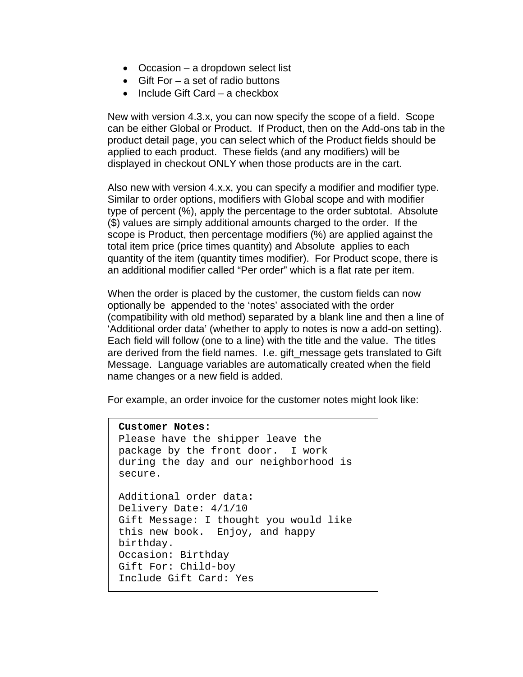- Occasion a dropdown select list
- Gift For a set of radio buttons
- Include Gift Card a checkbox

New with version 4.3.x, you can now specify the scope of a field. Scope can be either Global or Product. If Product, then on the Add-ons tab in the product detail page, you can select which of the Product fields should be applied to each product. These fields (and any modifiers) will be displayed in checkout ONLY when those products are in the cart.

Also new with version 4.x.x, you can specify a modifier and modifier type. Similar to order options, modifiers with Global scope and with modifier type of percent (%), apply the percentage to the order subtotal. Absolute (\$) values are simply additional amounts charged to the order. If the scope is Product, then percentage modifiers (%) are applied against the total item price (price times quantity) and Absolute applies to each quantity of the item (quantity times modifier). For Product scope, there is an additional modifier called "Per order" which is a flat rate per item.

When the order is placed by the customer, the custom fields can now optionally be appended to the 'notes' associated with the order (compatibility with old method) separated by a blank line and then a line of 'Additional order data' (whether to apply to notes is now a add-on setting). Each field will follow (one to a line) with the title and the value. The titles are derived from the field names. I.e. gift\_message gets translated to Gift Message. Language variables are automatically created when the field name changes or a new field is added.

For example, an order invoice for the customer notes might look like:

```
Customer Notes:
Please have the shipper leave the 
package by the front door. I work 
during the day and our neighborhood is 
secure.
Additional order data:
Delivery Date: 4/1/10
Gift Message: I thought you would like 
this new book. Enjoy, and happy 
birthday.
Occasion: Birthday
Gift For: Child-boy
Include Gift Card: Yes
```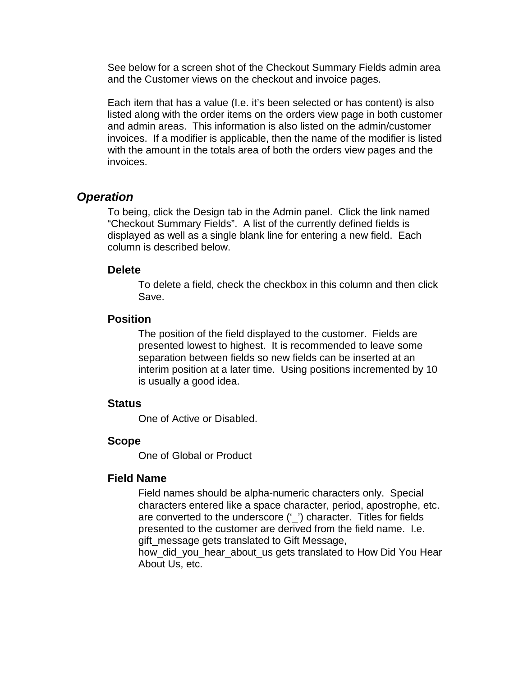See below for a screen shot of the Checkout Summary Fields admin area and the Customer views on the checkout and invoice pages.

Each item that has a value (I.e. it's been selected or has content) is also listed along with the order items on the orders view page in both customer and admin areas. This information is also listed on the admin/customer invoices. If a modifier is applicable, then the name of the modifier is listed with the amount in the totals area of both the orders view pages and the invoices.

# *Operation*

To being, click the Design tab in the Admin panel. Click the link named "Checkout Summary Fields". A list of the currently defined fields is displayed as well as a single blank line for entering a new field. Each column is described below.

### **Delete**

To delete a field, check the checkbox in this column and then click Save.

# **Position**

The position of the field displayed to the customer. Fields are presented lowest to highest. It is recommended to leave some separation between fields so new fields can be inserted at an interim position at a later time. Using positions incremented by 10 is usually a good idea.

# **Status**

One of Active or Disabled.

### **Scope**

One of Global or Product

### **Field Name**

Field names should be alpha-numeric characters only. Special characters entered like a space character, period, apostrophe, etc. are converted to the underscore ('\_') character. Titles for fields presented to the customer are derived from the field name. I.e. gift\_message gets translated to Gift Message,

how did you hear about us gets translated to How Did You Hear About Us, etc.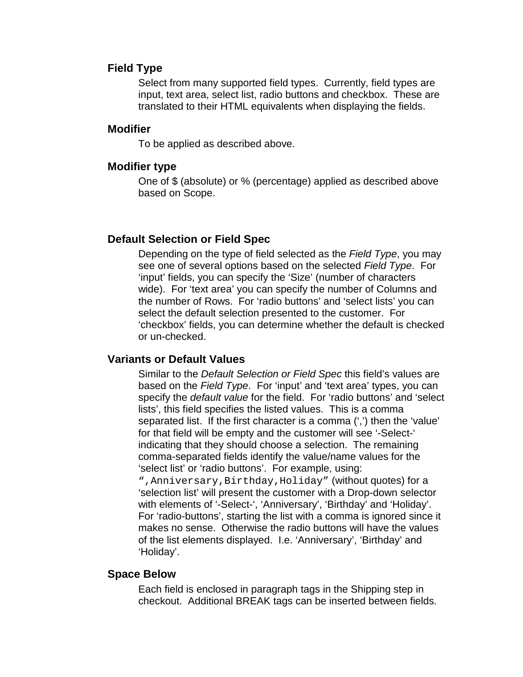#### **Field Type**

Select from many supported field types. Currently, field types are input, text area, select list, radio buttons and checkbox. These are translated to their HTML equivalents when displaying the fields.

## **Modifier**

To be applied as described above.

### **Modifier type**

One of \$ (absolute) or % (percentage) applied as described above based on Scope.

### **Default Selection or Field Spec**

Depending on the type of field selected as the *Field Type*, you may see one of several options based on the selected *Field Type*. For 'input' fields, you can specify the 'Size' (number of characters wide). For 'text area' you can specify the number of Columns and the number of Rows. For 'radio buttons' and 'select lists' you can select the default selection presented to the customer. For 'checkbox' fields, you can determine whether the default is checked or un-checked.

# **Variants or Default Values**

Similar to the *Default Selection or Field Spec* this field's values are based on the *Field Type*. For 'input' and 'text area' types, you can specify the *default value* for the field. For 'radio buttons' and 'select lists', this field specifies the listed values. This is a comma separated list. If the first character is a comma (',') then the 'value' for that field will be empty and the customer will see '-Select-' indicating that they should choose a selection. The remaining comma-separated fields identify the value/name values for the 'select list' or 'radio buttons'. For example, using:

",Anniversary,Birthday,Holiday" (without quotes) for a 'selection list' will present the customer with a Drop-down selector with elements of '-Select-', 'Anniversary', 'Birthday' and 'Holiday'. For 'radio-buttons', starting the list with a comma is ignored since it makes no sense. Otherwise the radio buttons will have the values of the list elements displayed. I.e. 'Anniversary', 'Birthday' and 'Holiday'.

#### **Space Below**

Each field is enclosed in paragraph tags in the Shipping step in checkout. Additional BREAK tags can be inserted between fields.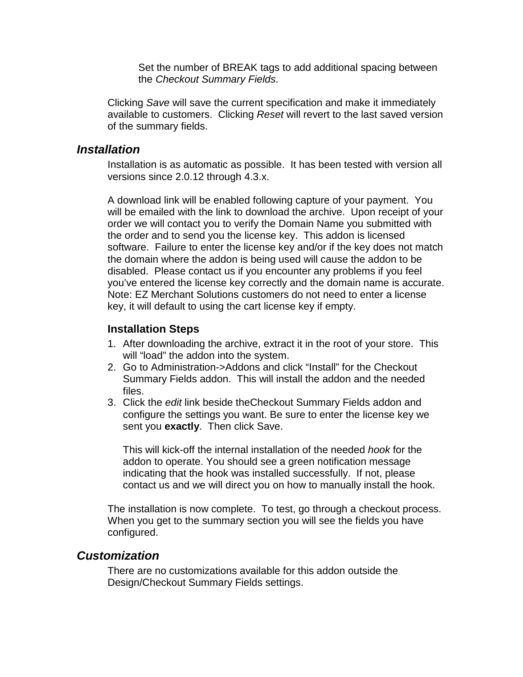Set the number of BREAK tags to add additional spacing between the *Checkout Summary Fields*.

Clicking *Save* will save the current specification and make it immediately available to customers. Clicking *Reset* will revert to the last saved version of the summary fields.

# *Installation*

Installation is as automatic as possible. It has been tested with version all versions since 2.0.12 through 4.3.x.

A download link will be enabled following capture of your payment. You will be emailed with the link to download the archive. Upon receipt of your order we will contact you to verify the Domain Name you submitted with the order and to send you the license key. This addon is licensed software. Failure to enter the license key and/or if the key does not match the domain where the addon is being used will cause the addon to be disabled. Please contact us if you encounter any problems if you feel you've entered the license key correctly and the domain name is accurate. Note: EZ Merchant Solutions customers do not need to enter a license key, it will default to using the cart license key if empty.

# **Installation Steps**

- 1. After downloading the archive, extract it in the root of your store. This will "load" the addon into the system.
- 2. Go to Administration->Addons and click "Install" for the Checkout Summary Fields addon. This will install the addon and the needed files.
- 3. Click the *edit* link beside theCheckout Summary Fields addon and configure the settings you want. Be sure to enter the license key we sent you **exactly**. Then click Save.

This will kick-off the internal installation of the needed *hook* for the addon to operate. You should see a green notification message indicating that the hook was installed successfully. If not, please contact us and we will direct you on how to manually install the hook.

The installation is now complete. To test, go through a checkout process. When you get to the summary section you will see the fields you have configured.

# *Customization*

There are no customizations available for this addon outside the Design/Checkout Summary Fields settings.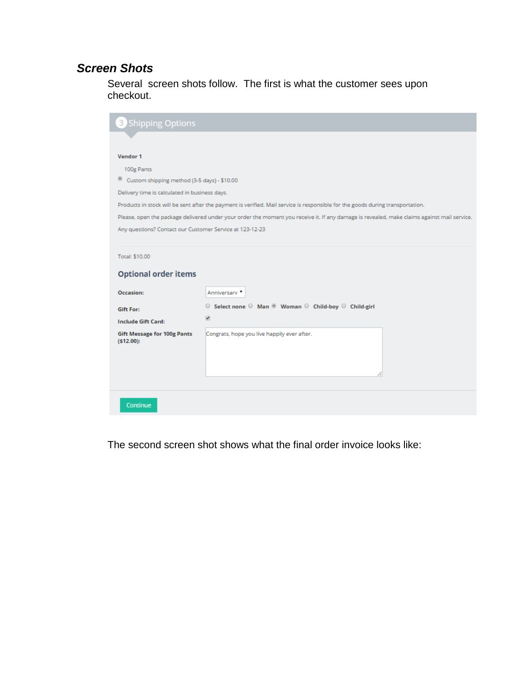# *Screen Shots*

Several screen shots follow. The first is what the customer sees upon checkout.

| <b>3</b> Shipping Options                                                                                                                   |  |  |  |  |  |  |  |  |  |  |
|---------------------------------------------------------------------------------------------------------------------------------------------|--|--|--|--|--|--|--|--|--|--|
|                                                                                                                                             |  |  |  |  |  |  |  |  |  |  |
| Vendor 1                                                                                                                                    |  |  |  |  |  |  |  |  |  |  |
| 100g Pants                                                                                                                                  |  |  |  |  |  |  |  |  |  |  |
| ◉<br>Custom shipping method (3-5 days) - \$10.00                                                                                            |  |  |  |  |  |  |  |  |  |  |
| Delivery time is calculated in business days.                                                                                               |  |  |  |  |  |  |  |  |  |  |
| Products in stock will be sent after the payment is verified. Mail service is responsible for the goods during transportation.              |  |  |  |  |  |  |  |  |  |  |
| Please, open the package delivered under your order the moment you receive it. If any damage is revealed, make claims against mail service. |  |  |  |  |  |  |  |  |  |  |
| Any questions? Contact our Customer Service at 123-12-23                                                                                    |  |  |  |  |  |  |  |  |  |  |
|                                                                                                                                             |  |  |  |  |  |  |  |  |  |  |
| Total: \$10.00                                                                                                                              |  |  |  |  |  |  |  |  |  |  |
| <b>Optional order items</b>                                                                                                                 |  |  |  |  |  |  |  |  |  |  |
| Occasion:<br>Anniversary                                                                                                                    |  |  |  |  |  |  |  |  |  |  |
| ○ Select none ○ Man <sup>◎</sup> Woman ○ Child-boy ○ Child-girl<br><b>Gift For:</b>                                                         |  |  |  |  |  |  |  |  |  |  |
| $\overline{\mathbf{r}}$<br><b>Include Gift Card:</b>                                                                                        |  |  |  |  |  |  |  |  |  |  |
| Congrats, hope you live happily ever after.<br><b>Gift Message for 100g Pants</b>                                                           |  |  |  |  |  |  |  |  |  |  |
| (512.00):                                                                                                                                   |  |  |  |  |  |  |  |  |  |  |
|                                                                                                                                             |  |  |  |  |  |  |  |  |  |  |
|                                                                                                                                             |  |  |  |  |  |  |  |  |  |  |
|                                                                                                                                             |  |  |  |  |  |  |  |  |  |  |
| Continue                                                                                                                                    |  |  |  |  |  |  |  |  |  |  |

The second screen shot shows what the final order invoice looks like: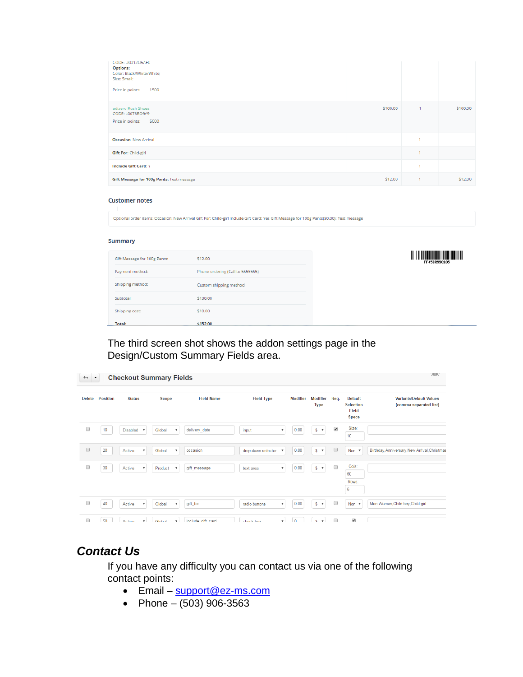| CODE: 0001205AF0<br><b>Options:</b><br>Color: Black/White/White;<br>Size: Small;<br>Price in points:<br>1500 |          |              |          |
|--------------------------------------------------------------------------------------------------------------|----------|--------------|----------|
| adizero Rush Shoes<br>CODE: L0078RO9Y9<br>5000<br>Price in points:                                           | \$100.00 | $\mathbf{1}$ | \$100.00 |
| <b>Occasion: New Arrival</b>                                                                                 |          | 1            |          |
| <b>Gift For: Child-girl</b>                                                                                  |          | ٠            |          |
| <b>Include Gift Card: Y</b>                                                                                  |          | ٠            |          |
| Gift Message for 100g Pants: Test message                                                                    | \$12.00  | 1            | \$12.00  |

#### **Customer notes**

Optional order items: Occasion: New Arrival Gift For: Child-girl Include Gift Card: Yes Gift Message for 100g Pants(\$0.00): Test message

#### Summary

| Shipping cost:<br><b>Total:</b> | \$152.00                         |
|---------------------------------|----------------------------------|
|                                 | \$10.00                          |
| Subtotal:                       | \$130.00                         |
| Shipping method:                | Custom shipping method           |
| Payment method:                 | Phone ordering (Call to 5555555) |
| Gift Message for 100g Pants:    | \$12.00                          |
|                                 |                                  |

|              | <u> Litha ann an Dùbhlachd ann an Dùbhlachd ann an Dùbhlachd ann an Dùbhlachd ann an Dùbhlachd ann an Dùbhlachd an </u> |  |  |  |  |  |  |  |  |  |
|--------------|-------------------------------------------------------------------------------------------------------------------------|--|--|--|--|--|--|--|--|--|
| FF45CR998185 |                                                                                                                         |  |  |  |  |  |  |  |  |  |

# The third screen shot shows the addon settings page in the Design/Custom Summary Fields area.

| <b>Checkout Summary Fields</b><br>$\leftarrow$<br>$\blacktriangledown$ |          |                 |                           |              |                           |                   |  |                    |                           |                 |                | 河区                        |                      |                                                             |                                                          |
|------------------------------------------------------------------------|----------|-----------------|---------------------------|--------------|---------------------------|-------------------|--|--------------------|---------------------------|-----------------|----------------|---------------------------|----------------------|-------------------------------------------------------------|----------------------------------------------------------|
| <b>Delete</b>                                                          | Position | <b>Status</b>   |                           | <b>Scope</b> |                           | <b>Field Name</b> |  | <b>Field Type</b>  |                           | <b>Modifier</b> | <b>Type</b>    | Modifier                  | Req.                 | <b>Default</b><br><b>Selection</b><br>Field<br><b>Specs</b> | <b>Variants/Default Values</b><br>(comma separated list) |
| 0                                                                      | 10       | <b>Disabled</b> | $\boldsymbol{\mathrm{v}}$ | Global       | $\boldsymbol{\mathrm{v}}$ | delivery date     |  | input              | $\boldsymbol{\mathrm{v}}$ | 0.00            | $$\mathbb{S}$$ | $\boldsymbol{\mathrm{v}}$ | $\blacktriangledown$ | Size:<br>10 <sup>1</sup>                                    |                                                          |
| $\Box$                                                                 | 20       | Active          | $\boldsymbol{\mathrm{v}}$ | Global       | $\boldsymbol{\mathrm{v}}$ | occasion          |  | drop-down selector | $\boldsymbol{\mathrm{v}}$ | 0.00            |                | $S - v$                   | $\qquad \qquad \Box$ | Non v                                                       | Birthday, Anniversary, New Arrival, Christmas            |
| 0                                                                      | 30       | Active          | $\overline{\mathbf{v}}$   | Product      | $\boldsymbol{\mathrm{v}}$ | gift_message      |  | text area          | $\boldsymbol{\mathrm{v}}$ | 0.00            |                | $S - T$                   | $\Box$               | Cols:<br>60<br>Rows:<br>6                                   |                                                          |
| $\Box$                                                                 | 40       | Active          | $\boldsymbol{\mathrm{v}}$ | Global       | $\boldsymbol{\mathrm{v}}$ | gift_for          |  | radio buttons      | $\overline{\mathbf{v}}$   | 0.00            |                | $S - T$                   | $\Box$               | Non <b>v</b>                                                | Man, Woman, Child-boy, Child-girl                        |
| 0                                                                      | 50       | Active          | $\boldsymbol{\mathrm{v}}$ | Global       | $\mathbf{v}$              | include oift card |  | check hox          | $\mathbf{v}$              | $\Omega$        | \$.            | $\boldsymbol{\mathrm{v}}$ | $\Box$               | $\blacktriangledown$                                        |                                                          |

# *Contact Us*

If you have any difficulty you can contact us via one of the following contact points:

- Email [support@ez-ms.com](mailto:support@ez-ms.com)
- Phone  $(503)$  906-3563